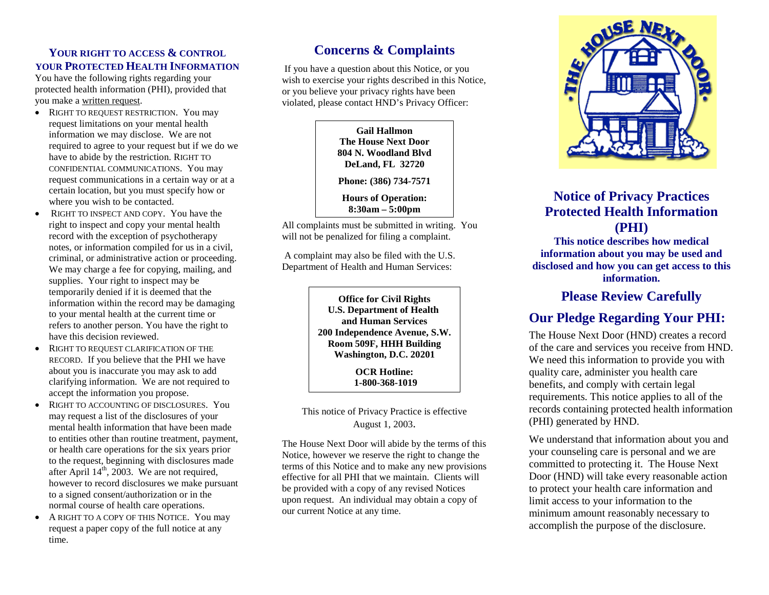#### **YOUR RIGHT TO ACCESS & CONTROL YOUR PROTECTED HEALTH INFORMATION**

You have the following rights regarding your protected health information (PHI), provided that you make a written request.

- RIGHT TO REQUEST RESTRICTION. You may request limitations on your mental health information we may disclose. We are not required to agree to your request but if we do we have to abide by the restriction. RIGHT TO CONFIDENTIAL COMMUNICATIONS. You may request communications in a certain way or at a certain location, but you must specify how or where you wish to be contacted.
- RIGHT TO INSPECT AND COPY. You have the right to inspect and copy your mental health record with the exception of psychotherapy notes, or information compiled for us in a civil, criminal, or administrative action or proceeding. We may charge a fee for copying, mailing, and supplies. Your right to inspect may be temporarily denied if it is deemed that the information within the record may be damaging to your mental health at the current time or refers to another person. You have the right to have this decision reviewed.
- RIGHT TO REQUEST CLARIFICATION OF THE RECORD. If you believe that the PHI we have about you is inaccurate you may ask to add clarifying information. We are not required to accept the information you propose.
- RIGHT TO ACCOUNTING OF DISCLOSURES. You may request a list of the disclosures of your mental health information that have been made to entities other than routine treatment, payment, or health care operations for the six years prior to the request, beginning with disclosures made after April  $14<sup>th</sup>$ , 2003. We are not required, however to record disclosures we make pursuant to a signed consent/authorization or in the normal course of health care operations.
- A RIGHT TO A COPY OF THIS NOTICE. You may request a paper copy of the full notice at any time.

# **Concerns & Complaints**

If you have a question about this Notice, or you wish to exercise your rights described in this Notice, or you believe your privacy rights have been violated, please contact HND's Privacy Officer:

> **Gail Hallmon The House Next Door 804 N. Woodland Blvd DeLand, FL 32720**

**Phone: (386) 734-7571**

**Hours of Operation: 8:30am – 5:00pm**

All complaints must be submitted in writing. You will not be penalized for filing a complaint.

A complaint may also be filed with the U.S. Department of Health and Human Services:

> **Office for Civil Rights U.S. Department of Health and Human Services 200 Independence Avenue, S.W. Room 509F, HHH Building Washington, D.C. 20201**

> > **OCR Hotline: 1-800-368-1019**

This notice of Privacy Practice is effective August 1, 2003.

The House Next Door will abide by the terms of this Notice, however we reserve the right to change the terms of this Notice and to make any new provisions effective for all PHI that we maintain. Clients will be provided with a copy of any revised Notices upon request. An individual may obtain a copy of our current Notice at any time.



# **Notice of Privacy Practices Protected Health Information (PHI)**

**This notice describes how medical information about you may be used and disclosed and how you can get access to this information.**

## **Please Review Carefully**

# **Our Pledge Regarding Your PHI:**

The House Next Door (HND) creates a record of the care and services you receive from HND. We need this information to provide you with quality care, administer you health care benefits, and comply with certain legal requirements. This notice applies to all of the records containing protected health information (PHI) generated by HND.

We understand that information about you and your counseling care is personal and we are committed to protecting it. The House Next Door (HND) will take every reasonable action to protect your health care information and limit access to your information to the minimum amount reasonably necessary to accomplish the purpose of the disclosure.